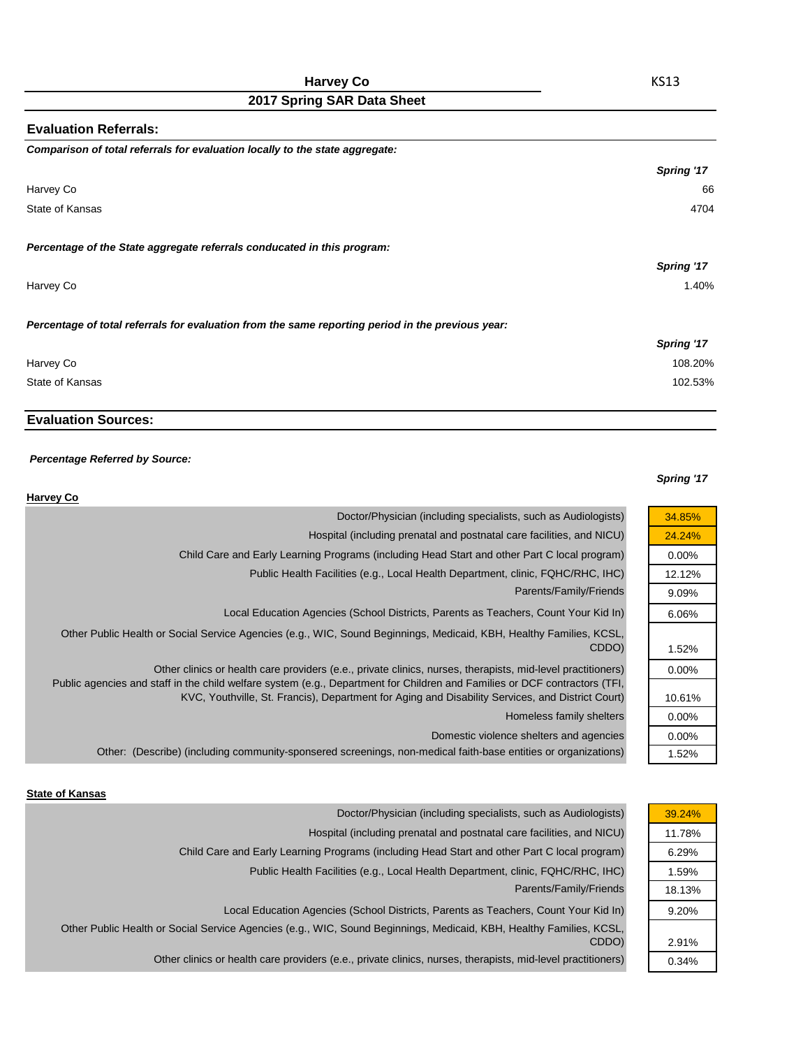| <b>Evaluation Referrals:</b>                                                                      |            |
|---------------------------------------------------------------------------------------------------|------------|
| Comparison of total referrals for evaluation locally to the state aggregate:                      |            |
|                                                                                                   | Spring '17 |
| Harvey Co                                                                                         | 66         |
| State of Kansas                                                                                   | 4704       |
| Percentage of the State aggregate referrals conducated in this program:                           |            |
|                                                                                                   | Spring '17 |
| Harvey Co                                                                                         | 1.40%      |
| Percentage of total referrals for evaluation from the same reporting period in the previous year: |            |
|                                                                                                   | Spring '17 |
| Harvey Co                                                                                         | 108.20%    |
| State of Kansas                                                                                   | 102.53%    |

# **Evaluation Sources:**

#### *Percentage Referred by Source:*

#### *Spring '17*

| <b>Harvey Co</b>                                                                                                                                                                                                                          |          |
|-------------------------------------------------------------------------------------------------------------------------------------------------------------------------------------------------------------------------------------------|----------|
| Doctor/Physician (including specialists, such as Audiologists)                                                                                                                                                                            | 34.85%   |
| Hospital (including prenatal and postnatal care facilities, and NICU)                                                                                                                                                                     | 24.24%   |
| Child Care and Early Learning Programs (including Head Start and other Part C local program)                                                                                                                                              | $0.00\%$ |
| Public Health Facilities (e.g., Local Health Department, clinic, FQHC/RHC, IHC)                                                                                                                                                           | 12.12%   |
| Parents/Family/Friends                                                                                                                                                                                                                    | 9.09%    |
| Local Education Agencies (School Districts, Parents as Teachers, Count Your Kid In)                                                                                                                                                       | 6.06%    |
| Other Public Health or Social Service Agencies (e.g., WIC, Sound Beginnings, Medicaid, KBH, Healthy Families, KCSL,<br>CDDO)                                                                                                              | 1.52%    |
| Other clinics or health care providers (e.e., private clinics, nurses, therapists, mid-level practitioners)<br>Public agencies and staff in the child welfare system (e.g., Department for Children and Families or DCF contractors (TFI, | $0.00\%$ |
| KVC, Youthville, St. Francis), Department for Aging and Disability Services, and District Court)                                                                                                                                          | 10.61%   |
| Homeless family shelters                                                                                                                                                                                                                  | $0.00\%$ |
| Domestic violence shelters and agencies                                                                                                                                                                                                   | $0.00\%$ |
| Other: (Describe) (including community-sponsered screenings, non-medical faith-base entities or organizations)                                                                                                                            | 1.52%    |

#### **State of Kansas**

| 39.24% |
|--------|
| 11.78% |
| 6.29%  |
| 1.59%  |
| 18.13% |
| 9.20%  |
|        |
| 2.91%  |
| 0.34%  |
|        |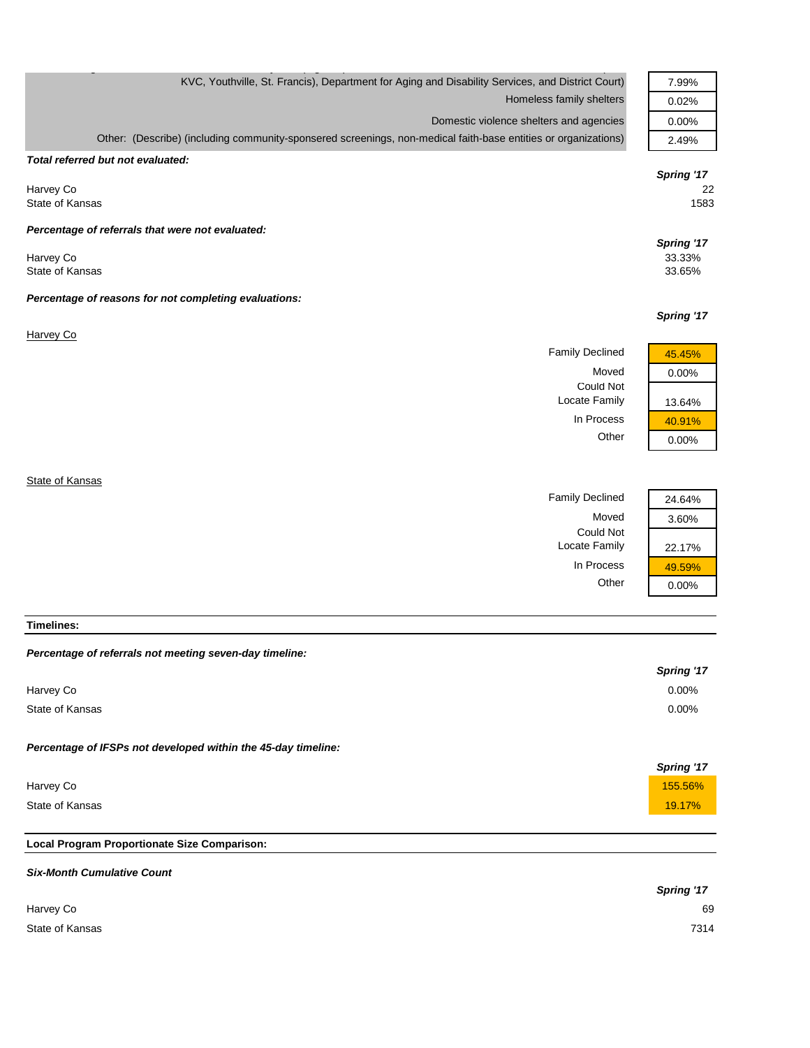| KVC, Youthville, St. Francis), Department for Aging and Disability Services, and District Court)               | 7.99%                          |
|----------------------------------------------------------------------------------------------------------------|--------------------------------|
| Homeless family shelters                                                                                       | 0.02%                          |
| Domestic violence shelters and agencies                                                                        | 0.00%                          |
| Other: (Describe) (including community-sponsered screenings, non-medical faith-base entities or organizations) | 2.49%                          |
| Total referred but not evaluated:                                                                              |                                |
| Harvey Co<br>State of Kansas                                                                                   | Spring '17<br>22<br>1583       |
| Percentage of referrals that were not evaluated:                                                               |                                |
| Harvey Co<br>State of Kansas                                                                                   | Spring '17<br>33.33%<br>33.65% |
| Percentage of reasons for not completing evaluations:                                                          |                                |
|                                                                                                                | Spring '17                     |
| Harvey Co                                                                                                      |                                |
| <b>Family Declined</b>                                                                                         | 45.45%                         |
| Moved                                                                                                          | 0.00%                          |
| <b>Could Not</b><br>Locate Family                                                                              | 13.64%                         |
| In Process                                                                                                     | 40.91%                         |
| Other                                                                                                          | 0.00%                          |
|                                                                                                                |                                |
| State of Kansas                                                                                                |                                |

Family Declined 24.64%

Locate Family 22.17%

In Process  $\frac{49.59\%}{0.00\%}$ 

 $0.00%$ 

Could Not

Moved 3.60%

| <b>Timelines:</b> |  |
|-------------------|--|

| Percentage of referrals not meeting seven-day timeline: |
|---------------------------------------------------------|
|---------------------------------------------------------|

|                                                               | Spring '17 |
|---------------------------------------------------------------|------------|
| Harvey Co                                                     | 0.00%      |
| State of Kansas                                               | 0.00%      |
| Percentage of IFSPs not developed within the 45-day timeline: |            |
|                                                               |            |
|                                                               | Spring '17 |
| Harvey Co                                                     | 155.56%    |
| State of Kansas                                               | 19.17%     |
|                                                               |            |

## **Local Program Proportionate Size Comparison:**

| <b>Six-Month Cumulative Count</b> |            |
|-----------------------------------|------------|
|                                   | Spring '17 |
| Harvey Co                         | 69         |
| State of Kansas                   | 7314       |